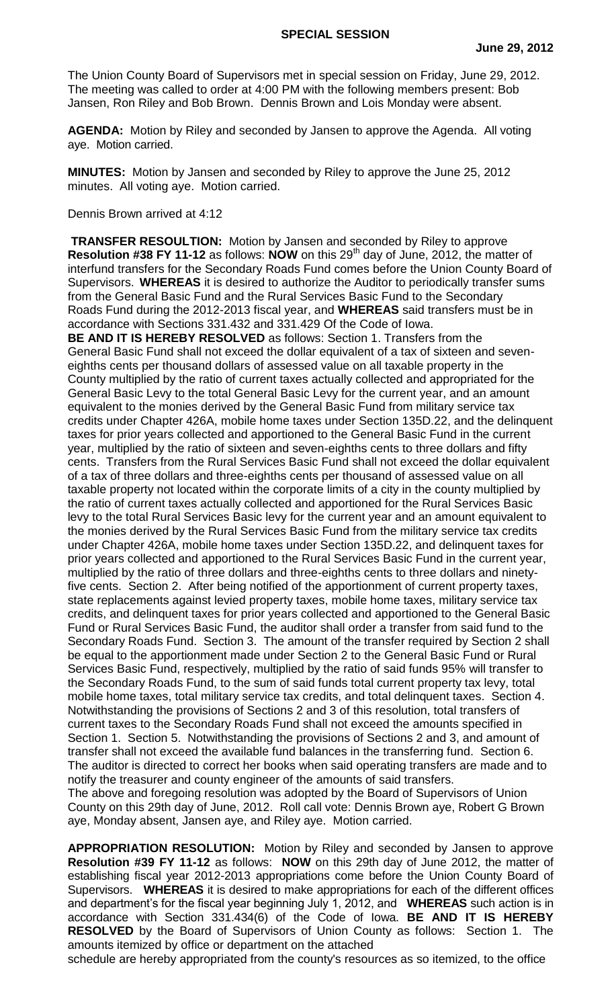The Union County Board of Supervisors met in special session on Friday, June 29, 2012. The meeting was called to order at 4:00 PM with the following members present: Bob Jansen, Ron Riley and Bob Brown. Dennis Brown and Lois Monday were absent.

**AGENDA:** Motion by Riley and seconded by Jansen to approve the Agenda. All voting aye. Motion carried.

**MINUTES:** Motion by Jansen and seconded by Riley to approve the June 25, 2012 minutes. All voting aye. Motion carried.

## Dennis Brown arrived at 4:12

**TRANSFER RESOULTION:** Motion by Jansen and seconded by Riley to approve **Resolution #38 FY 11-12** as follows: **NOW** on this 29<sup>th</sup> day of June, 2012, the matter of interfund transfers for the Secondary Roads Fund comes before the Union County Board of Supervisors. **WHEREAS** it is desired to authorize the Auditor to periodically transfer sums from the General Basic Fund and the Rural Services Basic Fund to the Secondary Roads Fund during the 2012-2013 fiscal year, and **WHEREAS** said transfers must be in accordance with Sections 331.432 and 331.429 Of the Code of Iowa.

**BE AND IT IS HEREBY RESOLVED** as follows: Section 1. Transfers from the General Basic Fund shall not exceed the dollar equivalent of a tax of sixteen and seveneighths cents per thousand dollars of assessed value on all taxable property in the County multiplied by the ratio of current taxes actually collected and appropriated for the General Basic Levy to the total General Basic Levy for the current year, and an amount equivalent to the monies derived by the General Basic Fund from military service tax credits under Chapter 426A, mobile home taxes under Section 135D.22, and the delinquent taxes for prior years collected and apportioned to the General Basic Fund in the current year, multiplied by the ratio of sixteen and seven-eighths cents to three dollars and fifty cents. Transfers from the Rural Services Basic Fund shall not exceed the dollar equivalent of a tax of three dollars and three-eighths cents per thousand of assessed value on all taxable property not located within the corporate limits of a city in the county multiplied by the ratio of current taxes actually collected and apportioned for the Rural Services Basic levy to the total Rural Services Basic levy for the current year and an amount equivalent to the monies derived by the Rural Services Basic Fund from the military service tax credits under Chapter 426A, mobile home taxes under Section 135D.22, and delinquent taxes for prior years collected and apportioned to the Rural Services Basic Fund in the current year, multiplied by the ratio of three dollars and three-eighths cents to three dollars and ninetyfive cents. Section 2. After being notified of the apportionment of current property taxes, state replacements against levied property taxes, mobile home taxes, military service tax credits, and delinquent taxes for prior years collected and apportioned to the General Basic Fund or Rural Services Basic Fund, the auditor shall order a transfer from said fund to the Secondary Roads Fund. Section 3. The amount of the transfer required by Section 2 shall be equal to the apportionment made under Section 2 to the General Basic Fund or Rural Services Basic Fund, respectively, multiplied by the ratio of said funds 95% will transfer to the Secondary Roads Fund, to the sum of said funds total current property tax levy, total mobile home taxes, total military service tax credits, and total delinquent taxes. Section 4. Notwithstanding the provisions of Sections 2 and 3 of this resolution, total transfers of current taxes to the Secondary Roads Fund shall not exceed the amounts specified in Section 1. Section 5. Notwithstanding the provisions of Sections 2 and 3, and amount of transfer shall not exceed the available fund balances in the transferring fund. Section 6. The auditor is directed to correct her books when said operating transfers are made and to notify the treasurer and county engineer of the amounts of said transfers. The above and foregoing resolution was adopted by the Board of Supervisors of Union County on this 29th day of June, 2012. Roll call vote: Dennis Brown aye, Robert G Brown aye, Monday absent, Jansen aye, and Riley aye. Motion carried.

**APPROPRIATION RESOLUTION:** Motion by Riley and seconded by Jansen to approve **Resolution #39 FY 11-12** as follows: **NOW** on this 29th day of June 2012, the matter of establishing fiscal year 2012-2013 appropriations come before the Union County Board of Supervisors. **WHEREAS** it is desired to make appropriations for each of the different offices and department's for the fiscal year beginning July 1, 2012, and **WHEREAS** such action is in accordance with Section 331.434(6) of the Code of Iowa. **BE AND IT IS HEREBY RESOLVED** by the Board of Supervisors of Union County as follows: Section 1. The amounts itemized by office or department on the attached

schedule are hereby appropriated from the county's resources as so itemized, to the office